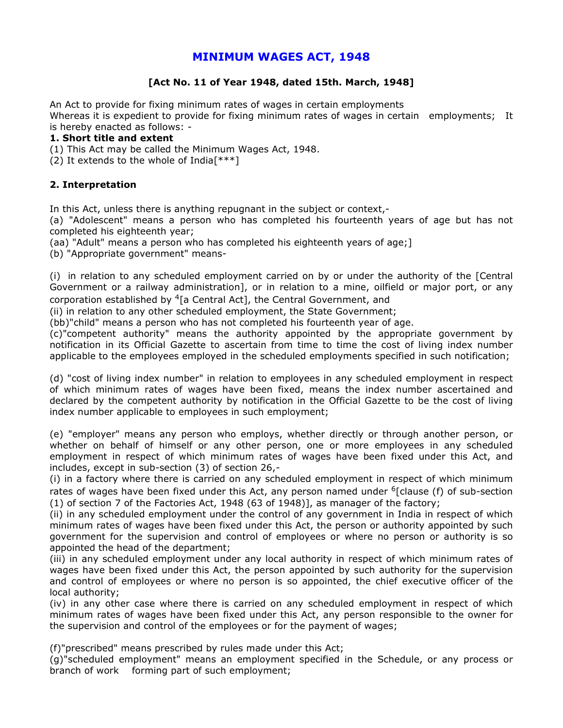# **MINIMUM WAGES ACT, 1948**

# **[Act No. 11 of Year 1948, dated 15th. March, 1948]**

An Act to provide for fixing minimum rates of wages in certain employments Whereas it is expedient to provide for fixing minimum rates of wages in certain employments; It is hereby enacted as follows: -

#### **1. Short title and extent**

(1) This Act may be called the Minimum Wages Act, 1948.

(2) It extends to the whole of India $[***]$ 

# **2. Interpretation**

In this Act, unless there is anything repugnant in the subject or context,-

(a) "Adolescent" means a person who has completed his fourteenth years of age but has not completed his eighteenth year;

(aa) "Adult" means a person who has completed his eighteenth years of age;]

(b) "Appropriate government" means-

(i) in relation to any scheduled employment carried on by or under the authority of the [Central Government or a railway administration], or in relation to a mine, oilfield or major port, or any corporation established by <sup>4</sup>[a Central Act], the Central Government, and

(ii) in relation to any other scheduled employment, the State Government;

(bb)"child" means a person who has not completed his fourteenth year of age.

(c)"competent authority" means the authority appointed by the appropriate government by notification in its Official Gazette to ascertain from time to time the cost of living index number applicable to the employees employed in the scheduled employments specified in such notification;

(d) "cost of living index number" in relation to employees in any scheduled employment in respect of which minimum rates of wages have been fixed, means the index number ascertained and declared by the competent authority by notification in the Official Gazette to be the cost of living index number applicable to employees in such employment;

(e) "employer" means any person who employs, whether directly or through another person, or whether on behalf of himself or any other person, one or more employees in any scheduled employment in respect of which minimum rates of wages have been fixed under this Act, and includes, except in sub-section (3) of section 26,-

(i) in a factory where there is carried on any scheduled employment in respect of which minimum rates of wages have been fixed under this Act, any person named under <sup>6</sup>[clause (f) of sub-section (1) of section 7 of the Factories Act, 1948 (63 of 1948)], as manager of the factory;

(ii) in any scheduled employment under the control of any government in India in respect of which minimum rates of wages have been fixed under this Act, the person or authority appointed by such government for the supervision and control of employees or where no person or authority is so appointed the head of the department;

(iii) in any scheduled employment under any local authority in respect of which minimum rates of wages have been fixed under this Act, the person appointed by such authority for the supervision and control of employees or where no person is so appointed, the chief executive officer of the local authority;

(iv) in any other case where there is carried on any scheduled employment in respect of which minimum rates of wages have been fixed under this Act, any person responsible to the owner for the supervision and control of the employees or for the payment of wages;

(f)"prescribed" means prescribed by rules made under this Act;

(g)"scheduled employment" means an employment specified in the Schedule, or any process or branch of work forming part of such employment;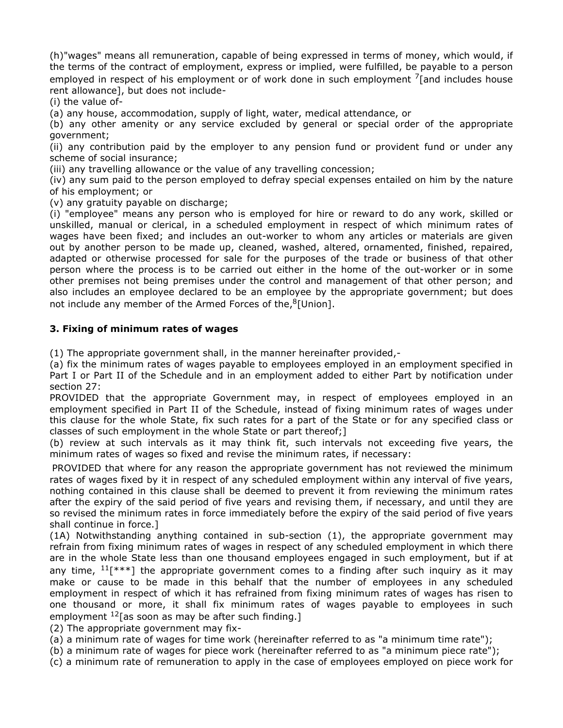(h)"wages" means all remuneration, capable of being expressed in terms of money, which would, if the terms of the contract of employment, express or implied, were fulfilled, be payable to a person employed in respect of his employment or of work done in such employment  $\frac{7}{1}$  and includes house rent allowance], but does not include-

(i) the value of-

(a) any house, accommodation, supply of light, water, medical attendance, or

(b) any other amenity or any service excluded by general or special order of the appropriate government;

(ii) any contribution paid by the employer to any pension fund or provident fund or under any scheme of social insurance;

(iii) any travelling allowance or the value of any travelling concession;

(iv) any sum paid to the person employed to defray special expenses entailed on him by the nature of his employment; or

(v) any gratuity payable on discharge;

(i) "employee" means any person who is employed for hire or reward to do any work, skilled or unskilled, manual or clerical, in a scheduled employment in respect of which minimum rates of wages have been fixed; and includes an out-worker to whom any articles or materials are given out by another person to be made up, cleaned, washed, altered, ornamented, finished, repaired, adapted or otherwise processed for sale for the purposes of the trade or business of that other person where the process is to be carried out either in the home of the out-worker or in some other premises not being premises under the control and management of that other person; and also includes an employee declared to be an employee by the appropriate government; but does not include any member of the Armed Forces of the, <sup>8</sup>[Union].

### **3. Fixing of minimum rates of wages**

(1) The appropriate government shall, in the manner hereinafter provided,-

(a) fix the minimum rates of wages payable to employees employed in an employment specified in Part I or Part II of the Schedule and in an employment added to either Part by notification under section 27:

PROVIDED that the appropriate Government may, in respect of employees employed in an employment specified in Part II of the Schedule, instead of fixing minimum rates of wages under this clause for the whole State, fix such rates for a part of the State or for any specified class or classes of such employment in the whole State or part thereof;]

(b) review at such intervals as it may think fit, such intervals not exceeding five years, the minimum rates of wages so fixed and revise the minimum rates, if necessary:

PROVIDED that where for any reason the appropriate government has not reviewed the minimum rates of wages fixed by it in respect of any scheduled employment within any interval of five years, nothing contained in this clause shall be deemed to prevent it from reviewing the minimum rates after the expiry of the said period of five years and revising them, if necessary, and until they are so revised the minimum rates in force immediately before the expiry of the said period of five years shall continue in force.]

(1A) Notwithstanding anything contained in sub-section (1), the appropriate government may refrain from fixing minimum rates of wages in respect of any scheduled employment in which there are in the whole State less than one thousand employees engaged in such employment, but if at any time,  $11[x**]$  the appropriate government comes to a finding after such inquiry as it may make or cause to be made in this behalf that the number of employees in any scheduled employment in respect of which it has refrained from fixing minimum rates of wages has risen to one thousand or more, it shall fix minimum rates of wages payable to employees in such employment  $12$  [as soon as may be after such finding.]

(2) The appropriate government may fix-

(a) a minimum rate of wages for time work (hereinafter referred to as "a minimum time rate");

(b) a minimum rate of wages for piece work (hereinafter referred to as "a minimum piece rate");

(c) a minimum rate of remuneration to apply in the case of employees employed on piece work for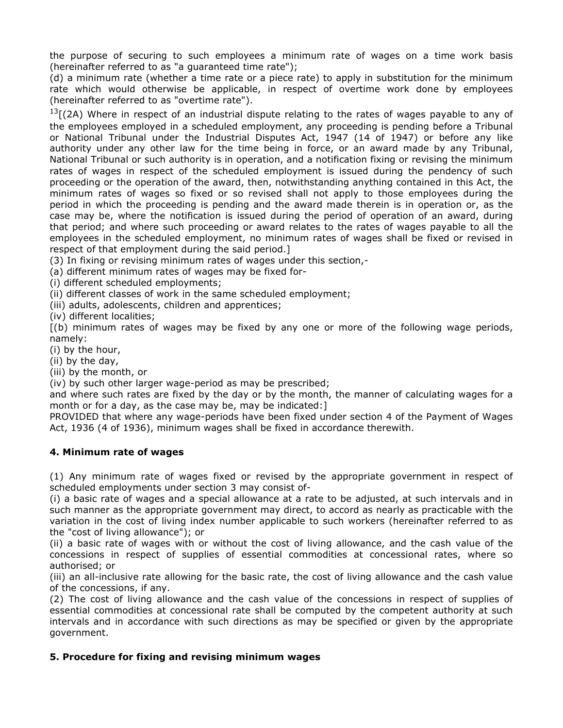the purpose of securing to such employees a minimum rate of wages on a time work basis (hereinafter referred to as "a guaranteed time rate");

(d) a minimum rate (whether a time rate or a piece rate) to apply in substitution for the minimum rate which would otherwise be applicable, in respect of overtime work done by employees (hereinafter referred to as "overtime rate").

 $13$ [(2A) Where in respect of an industrial dispute relating to the rates of wages payable to any of the employees employed in a scheduled employment, any proceeding is pending before a Tribunal or National Tribunal under the Industrial Disputes Act, 1947 (14 of 1947) or before any like authority under any other law for the time being in force, or an award made by any Tribunal, National Tribunal or such authority is in operation, and a notification fixing or revising the minimum rates of wages in respect of the scheduled employment is issued during the pendency of such proceeding or the operation of the award, then, notwithstanding anything contained in this Act, the minimum rates of wages so fixed or so revised shall not apply to those employees during the period in which the proceeding is pending and the award made therein is in operation or, as the case may be, where the notification is issued during the period of operation of an award, during that period; and where such proceeding or award relates to the rates of wages payable to all the employees in the scheduled employment, no minimum rates of wages shall be fixed or revised in respect of that employment during the said period.]

(3) In fixing or revising minimum rates of wages under this section,-

(a) different minimum rates of wages may be fixed for-

(i) different scheduled employments;

(ii) different classes of work in the same scheduled employment;

(iii) adults, adolescents, children and apprentices;

(iv) different localities;

[(b) minimum rates of wages may be fixed by any one or more of the following wage periods, namely:

(i) by the hour,

(ii) by the day,

(iii) by the month, or

(iv) by such other larger wage-period as may be prescribed;

and where such rates are fixed by the day or by the month, the manner of calculating wages for a month or for a day, as the case may be, may be indicated:]

PROVIDED that where any wage-periods have been fixed under section 4 of the Payment of Wages Act, 1936 (4 of 1936), minimum wages shall be fixed in accordance therewith.

#### **4. Minimum rate of wages**

(1) Any minimum rate of wages fixed or revised by the appropriate government in respect of scheduled employments under section 3 may consist of-

(i) a basic rate of wages and a special allowance at a rate to be adjusted, at such intervals and in such manner as the appropriate government may direct, to accord as nearly as practicable with the variation in the cost of living index number applicable to such workers (hereinafter referred to as the "cost of living allowance"); or

(ii) a basic rate of wages with or without the cost of living allowance, and the cash value of the concessions in respect of supplies of essential commodities at concessional rates, where so authorised; or

(iii) an all-inclusive rate allowing for the basic rate, the cost of living allowance and the cash value of the concessions, if any.

(2) The cost of living allowance and the cash value of the concessions in respect of supplies of essential commodities at concessional rate shall be computed by the competent authority at such intervals and in accordance with such directions as may be specified or given by the appropriate government.

#### **5. Procedure for fixing and revising minimum wages**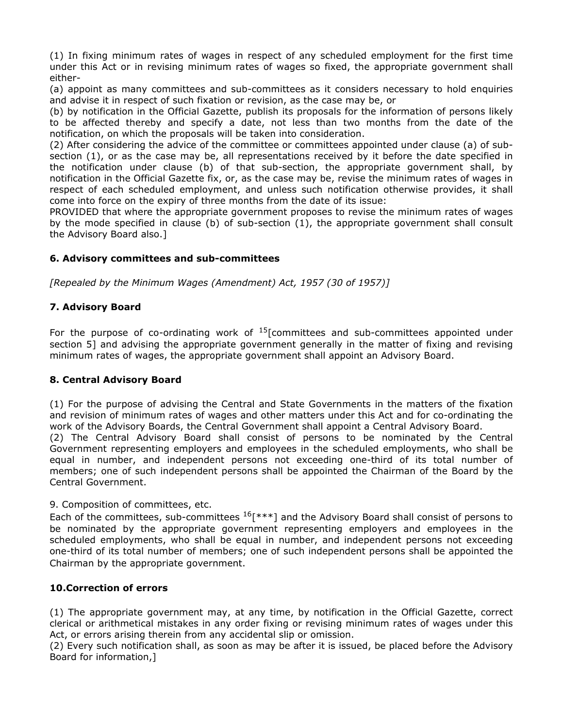(1) In fixing minimum rates of wages in respect of any scheduled employment for the first time under this Act or in revising minimum rates of wages so fixed, the appropriate government shall either-

(a) appoint as many committees and sub-committees as it considers necessary to hold enquiries and advise it in respect of such fixation or revision, as the case may be, or

(b) by notification in the Official Gazette, publish its proposals for the information of persons likely to be affected thereby and specify a date, not less than two months from the date of the notification, on which the proposals will be taken into consideration.

(2) After considering the advice of the committee or committees appointed under clause (a) of subsection (1), or as the case may be, all representations received by it before the date specified in the notification under clause (b) of that sub-section, the appropriate government shall, by notification in the Official Gazette fix, or, as the case may be, revise the minimum rates of wages in respect of each scheduled employment, and unless such notification otherwise provides, it shall come into force on the expiry of three months from the date of its issue:

PROVIDED that where the appropriate government proposes to revise the minimum rates of wages by the mode specified in clause (b) of sub-section (1), the appropriate government shall consult the Advisory Board also.]

# **6. Advisory committees and sub-committees**

*[Repealed by the Minimum Wages (Amendment) Act, 1957 (30 of 1957)]*

### **7. Advisory Board**

For the purpose of co-ordinating work of  $15$ [committees and sub-committees appointed under section 5] and advising the appropriate government generally in the matter of fixing and revising minimum rates of wages, the appropriate government shall appoint an Advisory Board.

#### **8. Central Advisory Board**

(1) For the purpose of advising the Central and State Governments in the matters of the fixation and revision of minimum rates of wages and other matters under this Act and for co-ordinating the work of the Advisory Boards, the Central Government shall appoint a Central Advisory Board. (2) The Central Advisory Board shall consist of persons to be nominated by the Central Government representing employers and employees in the scheduled employments, who shall be equal in number, and independent persons not exceeding one-third of its total number of members; one of such independent persons shall be appointed the Chairman of the Board by the Central Government.

#### 9. Composition of committees, etc.

Each of the committees, sub-committees  $16$ [\*\*\*] and the Advisory Board shall consist of persons to be nominated by the appropriate government representing employers and employees in the scheduled employments, who shall be equal in number, and independent persons not exceeding one-third of its total number of members; one of such independent persons shall be appointed the Chairman by the appropriate government.

#### **10.Correction of errors**

(1) The appropriate government may, at any time, by notification in the Official Gazette, correct clerical or arithmetical mistakes in any order fixing or revising minimum rates of wages under this Act, or errors arising therein from any accidental slip or omission.

(2) Every such notification shall, as soon as may be after it is issued, be placed before the Advisory Board for information,]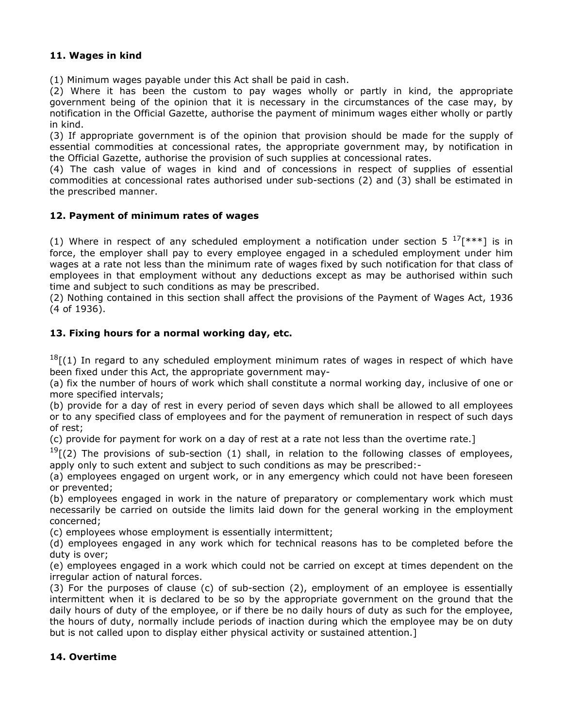# **11. Wages in kind**

(1) Minimum wages payable under this Act shall be paid in cash.

(2) Where it has been the custom to pay wages wholly or partly in kind, the appropriate government being of the opinion that it is necessary in the circumstances of the case may, by notification in the Official Gazette, authorise the payment of minimum wages either wholly or partly in kind.

(3) If appropriate government is of the opinion that provision should be made for the supply of essential commodities at concessional rates, the appropriate government may, by notification in the Official Gazette, authorise the provision of such supplies at concessional rates.

(4) The cash value of wages in kind and of concessions in respect of supplies of essential commodities at concessional rates authorised under sub-sections (2) and (3) shall be estimated in the prescribed manner.

### **12. Payment of minimum rates of wages**

(1) Where in respect of any scheduled employment a notification under section 5  $^{17}$ [\*\*\*] is in force, the employer shall pay to every employee engaged in a scheduled employment under him wages at a rate not less than the minimum rate of wages fixed by such notification for that class of employees in that employment without any deductions except as may be authorised within such time and subject to such conditions as may be prescribed.

(2) Nothing contained in this section shall affect the provisions of the Payment of Wages Act, 1936 (4 of 1936).

# **13. Fixing hours for a normal working day, etc.**

 $^{18}$ [(1) In regard to any scheduled employment minimum rates of wages in respect of which have been fixed under this Act, the appropriate government may-

(a) fix the number of hours of work which shall constitute a normal working day, inclusive of one or more specified intervals;

(b) provide for a day of rest in every period of seven days which shall be allowed to all employees or to any specified class of employees and for the payment of remuneration in respect of such days of rest;

(c) provide for payment for work on a day of rest at a rate not less than the overtime rate.]

 $19$ [(2) The provisions of sub-section (1) shall, in relation to the following classes of employees, apply only to such extent and subject to such conditions as may be prescribed:-

(a) employees engaged on urgent work, or in any emergency which could not have been foreseen or prevented;

(b) employees engaged in work in the nature of preparatory or complementary work which must necessarily be carried on outside the limits laid down for the general working in the employment concerned;

(c) employees whose employment is essentially intermittent;

(d) employees engaged in any work which for technical reasons has to be completed before the duty is over;

(e) employees engaged in a work which could not be carried on except at times dependent on the irregular action of natural forces.

(3) For the purposes of clause (c) of sub-section (2), employment of an employee is essentially intermittent when it is declared to be so by the appropriate government on the ground that the daily hours of duty of the employee, or if there be no daily hours of duty as such for the employee, the hours of duty, normally include periods of inaction during which the employee may be on duty but is not called upon to display either physical activity or sustained attention.]

# **14. Overtime**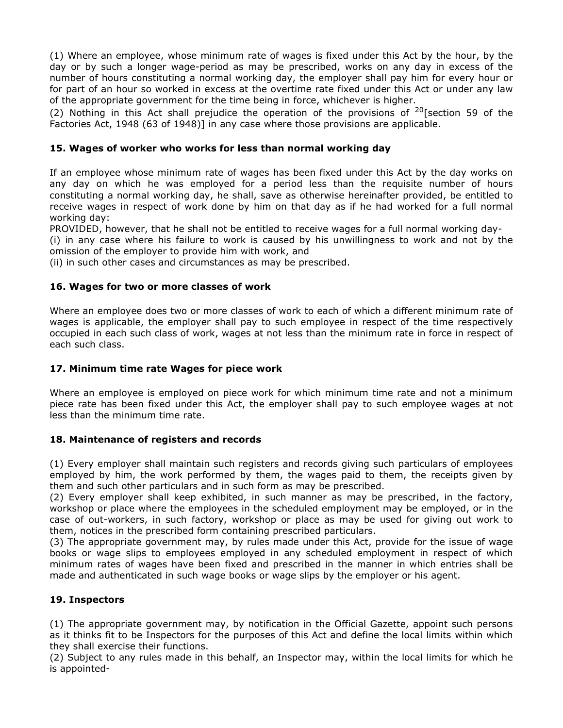(1) Where an employee, whose minimum rate of wages is fixed under this Act by the hour, by the day or by such a longer wage-period as may be prescribed, works on any day in excess of the number of hours constituting a normal working day, the employer shall pay him for every hour or for part of an hour so worked in excess at the overtime rate fixed under this Act or under any law of the appropriate government for the time being in force, whichever is higher.

(2) Nothing in this Act shall prejudice the operation of the provisions of  $^{20}$ [section 59 of the Factories Act, 1948 (63 of 1948)] in any case where those provisions are applicable.

### **15. Wages of worker who works for less than normal working day**

If an employee whose minimum rate of wages has been fixed under this Act by the day works on any day on which he was employed for a period less than the requisite number of hours constituting a normal working day, he shall, save as otherwise hereinafter provided, be entitled to receive wages in respect of work done by him on that day as if he had worked for a full normal working day:

PROVIDED, however, that he shall not be entitled to receive wages for a full normal working day- (i) in any case where his failure to work is caused by his unwillingness to work and not by the

omission of the employer to provide him with work, and

(ii) in such other cases and circumstances as may be prescribed.

#### **16. Wages for two or more classes of work**

Where an employee does two or more classes of work to each of which a different minimum rate of wages is applicable, the employer shall pay to such employee in respect of the time respectively occupied in each such class of work, wages at not less than the minimum rate in force in respect of each such class.

#### **17. Minimum time rate Wages for piece work**

Where an employee is employed on piece work for which minimum time rate and not a minimum piece rate has been fixed under this Act, the employer shall pay to such employee wages at not less than the minimum time rate.

#### **18. Maintenance of registers and records**

(1) Every employer shall maintain such registers and records giving such particulars of employees employed by him, the work performed by them, the wages paid to them, the receipts given by them and such other particulars and in such form as may be prescribed.

(2) Every employer shall keep exhibited, in such manner as may be prescribed, in the factory, workshop or place where the employees in the scheduled employment may be employed, or in the case of out-workers, in such factory, workshop or place as may be used for giving out work to them, notices in the prescribed form containing prescribed particulars.

(3) The appropriate government may, by rules made under this Act, provide for the issue of wage books or wage slips to employees employed in any scheduled employment in respect of which minimum rates of wages have been fixed and prescribed in the manner in which entries shall be made and authenticated in such wage books or wage slips by the employer or his agent.

#### **19. Inspectors**

(1) The appropriate government may, by notification in the Official Gazette, appoint such persons as it thinks fit to be Inspectors for the purposes of this Act and define the local limits within which they shall exercise their functions.

(2) Subject to any rules made in this behalf, an Inspector may, within the local limits for which he is appointed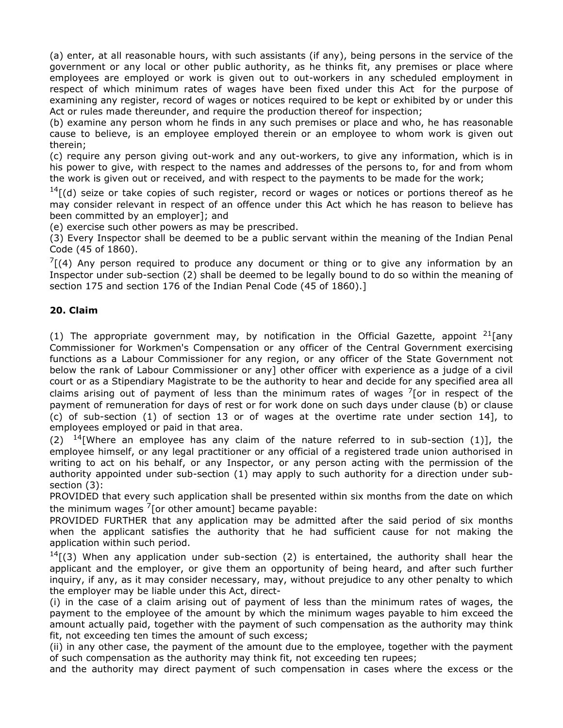(a) enter, at all reasonable hours, with such assistants (if any), being persons in the service of the government or any local or other public authority, as he thinks fit, any premises or place where employees are employed or work is given out to out-workers in any scheduled employment in respect of which minimum rates of wages have been fixed under this Act for the purpose of examining any register, record of wages or notices required to be kept or exhibited by or under this Act or rules made thereunder, and require the production thereof for inspection;

(b) examine any person whom he finds in any such premises or place and who, he has reasonable cause to believe, is an employee employed therein or an employee to whom work is given out therein;

(c) require any person giving out-work and any out-workers, to give any information, which is in his power to give, with respect to the names and addresses of the persons to, for and from whom the work is given out or received, and with respect to the payments to be made for the work;

 $<sup>14</sup>$ [(d) seize or take copies of such register, record or wages or notices or portions thereof as he</sup> may consider relevant in respect of an offence under this Act which he has reason to believe has been committed by an employer]; and

(e) exercise such other powers as may be prescribed.

(3) Every Inspector shall be deemed to be a public servant within the meaning of the Indian Penal Code (45 of 1860).

 $\frac{7}{4}$  (4) Any person required to produce any document or thing or to give any information by an Inspector under sub-section (2) shall be deemed to be legally bound to do so within the meaning of section 175 and section 176 of the Indian Penal Code (45 of 1860).]

### **20. Claim**

(1) The appropriate government may, by notification in the Official Gazette, appoint  $^{21}$ [any Commissioner for Workmen's Compensation or any officer of the Central Government exercising functions as a Labour Commissioner for any region, or any officer of the State Government not below the rank of Labour Commissioner or any] other officer with experience as a judge of a civil court or as a Stipendiary Magistrate to be the authority to hear and decide for any specified area all claims arising out of payment of less than the minimum rates of wages  $7$ [or in respect of the payment of remuneration for days of rest or for work done on such days under clause (b) or clause (c) of sub-section (1) of section 13 or of wages at the overtime rate under section 14], to employees employed or paid in that area.

(2)  $14$ [Where an employee has any claim of the nature referred to in sub-section (1)], the employee himself, or any legal practitioner or any official of a registered trade union authorised in writing to act on his behalf, or any Inspector, or any person acting with the permission of the authority appointed under sub-section (1) may apply to such authority for a direction under subsection (3):

PROVIDED that every such application shall be presented within six months from the date on which the minimum wages  $7$ [or other amount] became payable:

PROVIDED FURTHER that any application may be admitted after the said period of six months when the applicant satisfies the authority that he had sufficient cause for not making the application within such period.

 $14$ [(3) When any application under sub-section (2) is entertained, the authority shall hear the applicant and the employer, or give them an opportunity of being heard, and after such further inquiry, if any, as it may consider necessary, may, without prejudice to any other penalty to which the employer may be liable under this Act, direct-

(i) in the case of a claim arising out of payment of less than the minimum rates of wages, the payment to the employee of the amount by which the minimum wages payable to him exceed the amount actually paid, together with the payment of such compensation as the authority may think fit, not exceeding ten times the amount of such excess;

(ii) in any other case, the payment of the amount due to the employee, together with the payment of such compensation as the authority may think fit, not exceeding ten rupees;

and the authority may direct payment of such compensation in cases where the excess or the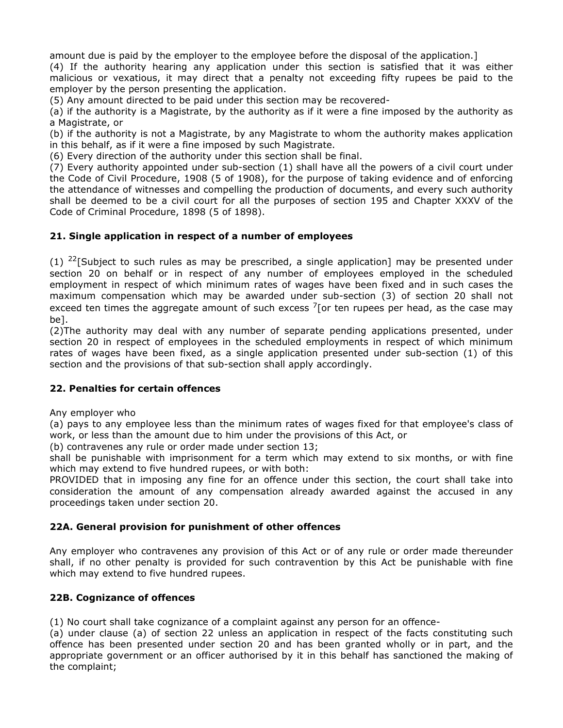amount due is paid by the employer to the employee before the disposal of the application.]

(4) If the authority hearing any application under this section is satisfied that it was either malicious or vexatious, it may direct that a penalty not exceeding fifty rupees be paid to the employer by the person presenting the application.

(5) Any amount directed to be paid under this section may be recovered-

(a) if the authority is a Magistrate, by the authority as if it were a fine imposed by the authority as a Magistrate, or

(b) if the authority is not a Magistrate, by any Magistrate to whom the authority makes application in this behalf, as if it were a fine imposed by such Magistrate.

(6) Every direction of the authority under this section shall be final.

(7) Every authority appointed under sub-section (1) shall have all the powers of a civil court under the Code of Civil Procedure, 1908 (5 of 1908), for the purpose of taking evidence and of enforcing the attendance of witnesses and compelling the production of documents, and every such authority shall be deemed to be a civil court for all the purposes of section 195 and Chapter XXXV of the Code of Criminal Procedure, 1898 (5 of 1898).

### **21. Single application in respect of a number of employees**

(1) <sup>22</sup>[Subject to such rules as may be prescribed, a single application] may be presented under section 20 on behalf or in respect of any number of employees employed in the scheduled employment in respect of which minimum rates of wages have been fixed and in such cases the maximum compensation which may be awarded under sub-section (3) of section 20 shall not exceed ten times the aggregate amount of such excess  $^7$ [or ten rupees per head, as the case may be].

(2)The authority may deal with any number of separate pending applications presented, under section 20 in respect of employees in the scheduled employments in respect of which minimum rates of wages have been fixed, as a single application presented under sub-section (1) of this section and the provisions of that sub-section shall apply accordingly.

#### **22. Penalties for certain offences**

Any employer who

(a) pays to any employee less than the minimum rates of wages fixed for that employee's class of work, or less than the amount due to him under the provisions of this Act, or

(b) contravenes any rule or order made under section 13;

shall be punishable with imprisonment for a term which may extend to six months, or with fine which may extend to five hundred rupees, or with both:

PROVIDED that in imposing any fine for an offence under this section, the court shall take into consideration the amount of any compensation already awarded against the accused in any proceedings taken under section 20.

#### **22A. General provision for punishment of other offences**

Any employer who contravenes any provision of this Act or of any rule or order made thereunder shall, if no other penalty is provided for such contravention by this Act be punishable with fine which may extend to five hundred rupees.

#### **22B. Cognizance of offences**

(1) No court shall take cognizance of a complaint against any person for an offence-

(a) under clause (a) of section 22 unless an application in respect of the facts constituting such offence has been presented under section 20 and has been granted wholly or in part, and the appropriate government or an officer authorised by it in this behalf has sanctioned the making of the complaint;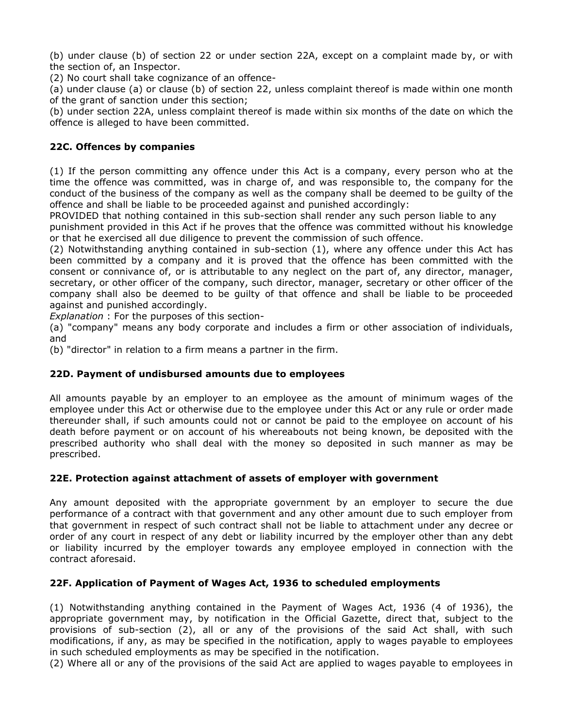(b) under clause (b) of section 22 or under section 22A, except on a complaint made by, or with the section of, an Inspector.

(2) No court shall take cognizance of an offence-

(a) under clause (a) or clause (b) of section 22, unless complaint thereof is made within one month of the grant of sanction under this section;

(b) under section 22A, unless complaint thereof is made within six months of the date on which the offence is alleged to have been committed.

### **22C. Offences by companies**

(1) If the person committing any offence under this Act is a company, every person who at the time the offence was committed, was in charge of, and was responsible to, the company for the conduct of the business of the company as well as the company shall be deemed to be guilty of the offence and shall be liable to be proceeded against and punished accordingly:

PROVIDED that nothing contained in this sub-section shall render any such person liable to any punishment provided in this Act if he proves that the offence was committed without his knowledge or that he exercised all due diligence to prevent the commission of such offence.

(2) Notwithstanding anything contained in sub-section (1), where any offence under this Act has been committed by a company and it is proved that the offence has been committed with the consent or connivance of, or is attributable to any neglect on the part of, any director, manager, secretary, or other officer of the company, such director, manager, secretary or other officer of the company shall also be deemed to be guilty of that offence and shall be liable to be proceeded against and punished accordingly.

*Explanation* : For the purposes of this section-

(a) "company" means any body corporate and includes a firm or other association of individuals, and

(b) "director" in relation to a firm means a partner in the firm.

#### **22D. Payment of undisbursed amounts due to employees**

All amounts payable by an employer to an employee as the amount of minimum wages of the employee under this Act or otherwise due to the employee under this Act or any rule or order made thereunder shall, if such amounts could not or cannot be paid to the employee on account of his death before payment or on account of his whereabouts not being known, be deposited with the prescribed authority who shall deal with the money so deposited in such manner as may be prescribed.

#### **22E. Protection against attachment of assets of employer with government**

Any amount deposited with the appropriate government by an employer to secure the due performance of a contract with that government and any other amount due to such employer from that government in respect of such contract shall not be liable to attachment under any decree or order of any court in respect of any debt or liability incurred by the employer other than any debt or liability incurred by the employer towards any employee employed in connection with the contract aforesaid.

#### **22F. Application of Payment of Wages Act, 1936 to scheduled employments**

(1) Notwithstanding anything contained in the Payment of Wages Act, 1936 (4 of 1936), the appropriate government may, by notification in the Official Gazette, direct that, subject to the provisions of sub-section (2), all or any of the provisions of the said Act shall, with such modifications, if any, as may be specified in the notification, apply to wages payable to employees in such scheduled employments as may be specified in the notification.

(2) Where all or any of the provisions of the said Act are applied to wages payable to employees in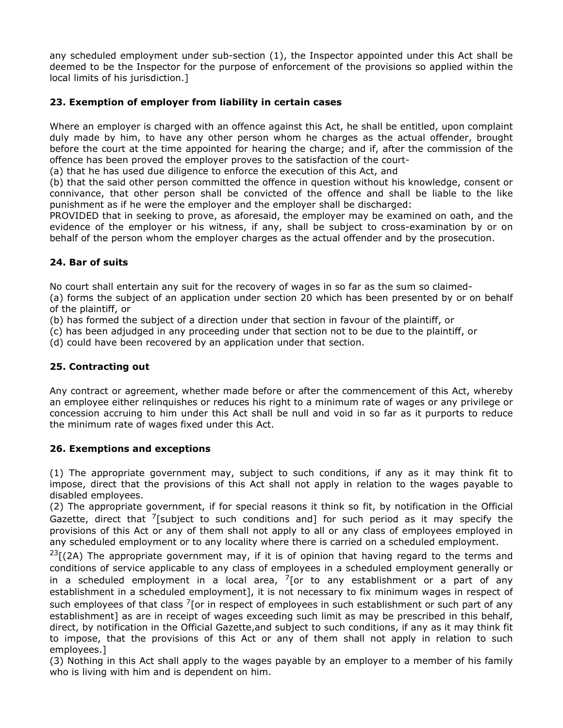any scheduled employment under sub-section (1), the Inspector appointed under this Act shall be deemed to be the Inspector for the purpose of enforcement of the provisions so applied within the local limits of his jurisdiction.]

# **23. Exemption of employer from liability in certain cases**

Where an employer is charged with an offence against this Act, he shall be entitled, upon complaint duly made by him, to have any other person whom he charges as the actual offender, brought before the court at the time appointed for hearing the charge; and if, after the commission of the offence has been proved the employer proves to the satisfaction of the court-

(a) that he has used due diligence to enforce the execution of this Act, and

(b) that the said other person committed the offence in question without his knowledge, consent or connivance, that other person shall be convicted of the offence and shall be liable to the like punishment as if he were the employer and the employer shall be discharged:

PROVIDED that in seeking to prove, as aforesaid, the employer may be examined on oath, and the evidence of the employer or his witness, if any, shall be subject to cross-examination by or on behalf of the person whom the employer charges as the actual offender and by the prosecution.

# **24. Bar of suits**

No court shall entertain any suit for the recovery of wages in so far as the sum so claimed-

(a) forms the subject of an application under section 20 which has been presented by or on behalf of the plaintiff, or

(b) has formed the subject of a direction under that section in favour of the plaintiff, or

(c) has been adjudged in any proceeding under that section not to be due to the plaintiff, or

(d) could have been recovered by an application under that section.

# **25. Contracting out**

Any contract or agreement, whether made before or after the commencement of this Act, whereby an employee either relinquishes or reduces his right to a minimum rate of wages or any privilege or concession accruing to him under this Act shall be null and void in so far as it purports to reduce the minimum rate of wages fixed under this Act.

# **26. Exemptions and exceptions**

(1) The appropriate government may, subject to such conditions, if any as it may think fit to impose, direct that the provisions of this Act shall not apply in relation to the wages payable to disabled employees.

(2) The appropriate government, if for special reasons it think so fit, by notification in the Official Gazette, direct that  $7$ [subject to such conditions and] for such period as it may specify the provisions of this Act or any of them shall not apply to all or any class of employees employed in any scheduled employment or to any locality where there is carried on a scheduled employment.

 $23$ [(2A) The appropriate government may, if it is of opinion that having regard to the terms and conditions of service applicable to any class of employees in a scheduled employment generally or in a scheduled employment in a local area,  $7$ [or to any establishment or a part of any establishment in a scheduled employment], it is not necessary to fix minimum wages in respect of such employees of that class  $\frac{7}{1}$  or in respect of employees in such establishment or such part of any establishment] as are in receipt of wages exceeding such limit as may be prescribed in this behalf, direct, by notification in the Official Gazette,and subject to such conditions, if any as it may think fit to impose, that the provisions of this Act or any of them shall not apply in relation to such employees.]

(3) Nothing in this Act shall apply to the wages payable by an employer to a member of his family who is living with him and is dependent on him.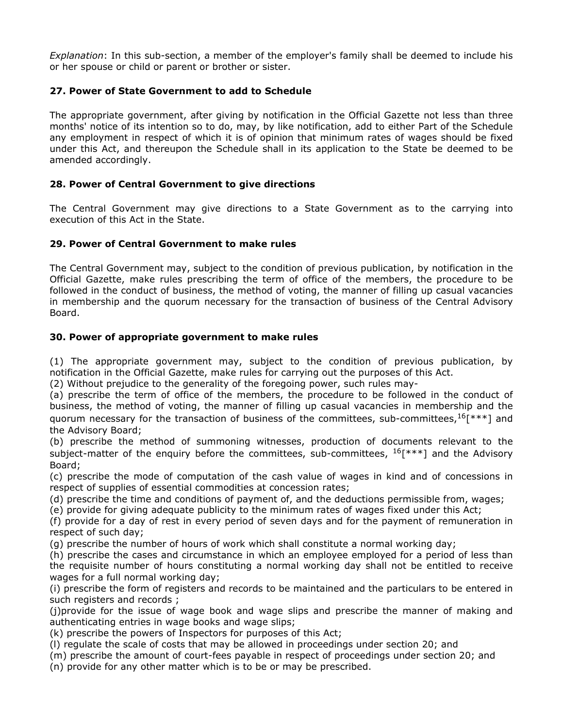*Explanation*: In this sub-section, a member of the employer's family shall be deemed to include his or her spouse or child or parent or brother or sister.

### **27. Power of State Government to add to Schedule**

The appropriate government, after giving by notification in the Official Gazette not less than three months' notice of its intention so to do, may, by like notification, add to either Part of the Schedule any employment in respect of which it is of opinion that minimum rates of wages should be fixed under this Act, and thereupon the Schedule shall in its application to the State be deemed to be amended accordingly.

#### **28. Power of Central Government to give directions**

The Central Government may give directions to a State Government as to the carrying into execution of this Act in the State.

#### **29. Power of Central Government to make rules**

The Central Government may, subject to the condition of previous publication, by notification in the Official Gazette, make rules prescribing the term of office of the members, the procedure to be followed in the conduct of business, the method of voting, the manner of filling up casual vacancies in membership and the quorum necessary for the transaction of business of the Central Advisory Board.

#### **30. Power of appropriate government to make rules**

(1) The appropriate government may, subject to the condition of previous publication, by notification in the Official Gazette, make rules for carrying out the purposes of this Act.

(2) Without prejudice to the generality of the foregoing power, such rules may-

(a) prescribe the term of office of the members, the procedure to be followed in the conduct of business, the method of voting, the manner of filling up casual vacancies in membership and the quorum necessary for the transaction of business of the committees, sub-committees,  $^{16}$ [\*\*\*] and the Advisory Board;

(b) prescribe the method of summoning witnesses, production of documents relevant to the subject-matter of the enquiry before the committees, sub-committees,  $^{16}$ [\*\*\*] and the Advisory Board;

(c) prescribe the mode of computation of the cash value of wages in kind and of concessions in respect of supplies of essential commodities at concession rates;

(d) prescribe the time and conditions of payment of, and the deductions permissible from, wages;

(e) provide for giving adequate publicity to the minimum rates of wages fixed under this Act;

(f) provide for a day of rest in every period of seven days and for the payment of remuneration in respect of such day;

(g) prescribe the number of hours of work which shall constitute a normal working day;

(h) prescribe the cases and circumstance in which an employee employed for a period of less than the requisite number of hours constituting a normal working day shall not be entitled to receive wages for a full normal working day;

(i) prescribe the form of registers and records to be maintained and the particulars to be entered in such registers and records ;

(j)provide for the issue of wage book and wage slips and prescribe the manner of making and authenticating entries in wage books and wage slips;

(k) prescribe the powers of Inspectors for purposes of this Act;

(l) regulate the scale of costs that may be allowed in proceedings under section 20; and

(m) prescribe the amount of court-fees payable in respect of proceedings under section 20; and (n) provide for any other matter which is to be or may be prescribed.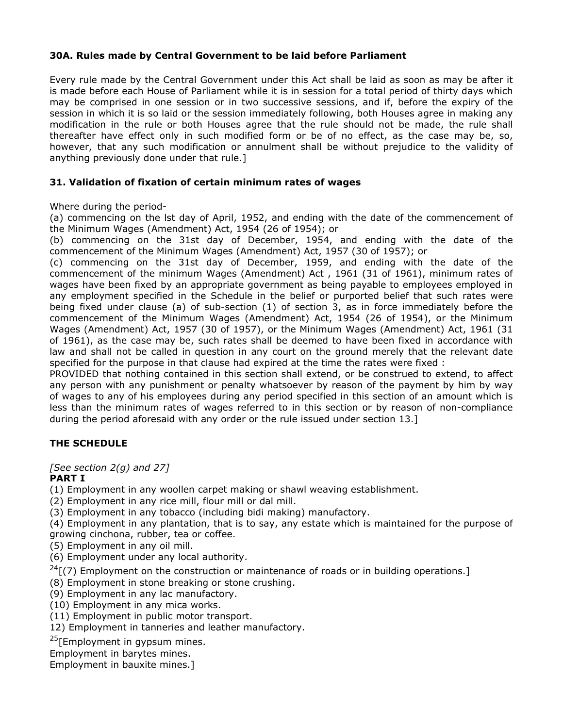# **30A. Rules made by Central Government to be laid before Parliament**

Every rule made by the Central Government under this Act shall be laid as soon as may be after it is made before each House of Parliament while it is in session for a total period of thirty days which may be comprised in one session or in two successive sessions, and if, before the expiry of the session in which it is so laid or the session immediately following, both Houses agree in making any modification in the rule or both Houses agree that the rule should not be made, the rule shall thereafter have effect only in such modified form or be of no effect, as the case may be, so, however, that any such modification or annulment shall be without prejudice to the validity of anything previously done under that rule.]

### **31. Validation of fixation of certain minimum rates of wages**

Where during the period-

(a) commencing on the lst day of April, 1952, and ending with the date of the commencement of the Minimum Wages (Amendment) Act, 1954 (26 of 1954); or

(b) commencing on the 31st day of December, 1954, and ending with the date of the commencement of the Minimum Wages (Amendment) Act, 1957 (30 of 1957); or

(c) commencing on the 31st day of December, 1959, and ending with the date of the commencement of the minimum Wages (Amendment) Act , 1961 (31 of 1961), minimum rates of wages have been fixed by an appropriate government as being payable to employees employed in any employment specified in the Schedule in the belief or purported belief that such rates were being fixed under clause (a) of sub-section (1) of section 3, as in force immediately before the commencement of the Minimum Wages (Amendment) Act, 1954 (26 of 1954), or the Minimum Wages (Amendment) Act, 1957 (30 of 1957), or the Minimum Wages (Amendment) Act, 1961 (31 of 1961), as the case may be, such rates shall be deemed to have been fixed in accordance with law and shall not be called in question in any court on the ground merely that the relevant date specified for the purpose in that clause had expired at the time the rates were fixed :

PROVIDED that nothing contained in this section shall extend, or be construed to extend, to affect any person with any punishment or penalty whatsoever by reason of the payment by him by way of wages to any of his employees during any period specified in this section of an amount which is less than the minimum rates of wages referred to in this section or by reason of non-compliance during the period aforesaid with any order or the rule issued under section 13.]

#### **THE SCHEDULE**

*[See section 2(g) and 27]*

#### **PART I**

(1) Employment in any woollen carpet making or shawl weaving establishment.

- (2) Employment in any rice mill, flour mill or dal mill.
- (3) Employment in any tobacco (including bidi making) manufactory.
- (4) Employment in any plantation, that is to say, any estate which is maintained for the purpose of growing cinchona, rubber, tea or coffee.
- (5) Employment in any oil mill.
- (6) Employment under any local authority.
- $24$ [(7) Employment on the construction or maintenance of roads or in building operations.]
- (8) Employment in stone breaking or stone crushing.
- (9) Employment in any lac manufactory.
- (10) Employment in any mica works.
- (11) Employment in public motor transport.
- 12) Employment in tanneries and leather manufactory.
- $25$ [Employment in gypsum mines.
- Employment in barytes mines.
- Employment in bauxite mines.]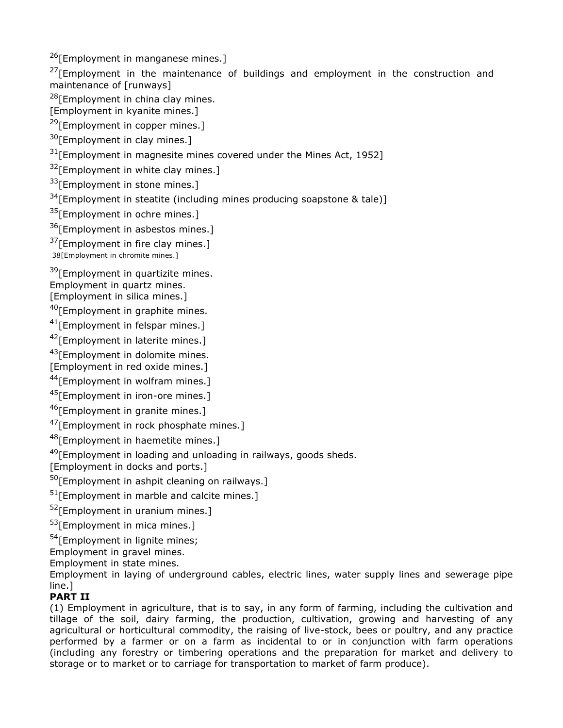<sup>26</sup>[Employment in manganese mines.]

 $27$ [Employment in the maintenance of buildings and employment in the construction and maintenance of [runways]

<sup>28</sup>[Employment in china clay mines.

[Employment in kyanite mines.]

 $29$ [Employment in copper mines.]

 $30$ [Employment in clay mines.]

 $31$ [Employment in magnesite mines covered under the Mines Act, 1952]

 $32$ [Employment in white clay mines.]

 $33$ [Employment in stone mines.]

 $34$ [Employment in steatite (including mines producing soapstone & tale)]

 $35$ [Employment in ochre mines.]

<sup>36</sup>[Employment in asbestos mines.]

 $37$ [Employment in fire clay mines.]

38[Employment in chromite mines.]

<sup>39</sup>[Employment in quartizite mines.

Employment in quartz mines.

[Employment in silica mines.]

40<sup>[Employment in graphite mines.</sup>

<sup>41</sup>[Employment in felspar mines.]

42<sup>[Employment in laterite mines.]</sup>

43<sup>[Employment in dolomite mines.]</sup>

[Employment in red oxide mines.]

 $44$ [Employment in wolfram mines.]

<sup>45</sup>[Employment in iron-ore mines.]

46<sup>[Employment in granite mines.]</sup>

 $47$ [Employment in rock phosphate mines.]

48<sup>[Employment in haemetite mines.]</sup>

49<sup>[Employment in loading and unloading in railways, goods sheds.</sup>

[Employment in docks and ports.]

 $50$ [Employment in ashpit cleaning on railways.]

 $51$ [Employment in marble and calcite mines.]

 $52$ [Employment in uranium mines.]

 $53$ [Employment in mica mines.]

 $54$ [Employment in lignite mines;

Employment in gravel mines.

Employment in state mines.

Employment in laying of underground cables, electric lines, water supply lines and sewerage pipe line.]

# **PART II**

(1) Employment in agriculture, that is to say, in any form of farming, including the cultivation and tillage of the soil, dairy farming, the production, cultivation, growing and harvesting of any agricultural or horticultural commodity, the raising of live-stock, bees or poultry, and any practice performed by a farmer or on a farm as incidental to or in conjunction with farm operations (including any forestry or timbering operations and the preparation for market and delivery to storage or to market or to carriage for transportation to market of farm produce).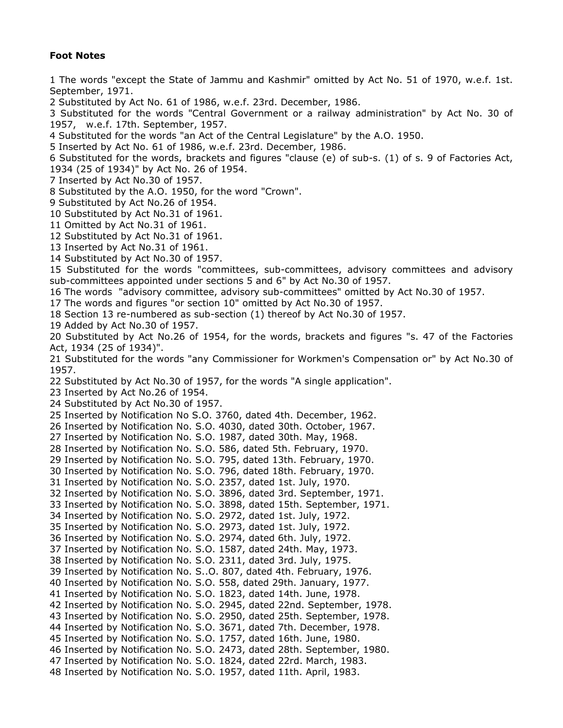#### **Foot Notes**

1 The words "except the State of Jammu and Kashmir" omitted by Act No. 51 of 1970, w.e.f. 1st. September, 1971.

2 Substituted by Act No. 61 of 1986, w.e.f. 23rd. December, 1986.

3 Substituted for the words "Central Government or a railway administration" by Act No. 30 of 1957, w.e.f. 17th. September, 1957.

4 Substituted for the words "an Act of the Central Legislature" by the A.O. 1950.

5 Inserted by Act No. 61 of 1986, w.e.f. 23rd. December, 1986.

6 Substituted for the words, brackets and figures "clause (e) of sub-s. (1) of s. 9 of Factories Act,

1934 (25 of 1934)" by Act No. 26 of 1954.

7 Inserted by Act No.30 of 1957.

8 Substituted by the A.O. 1950, for the word "Crown".

9 Substituted by Act No.26 of 1954.

10 Substituted by Act No.31 of 1961.

11 Omitted by Act No.31 of 1961.

12 Substituted by Act No.31 of 1961.

13 Inserted by Act No.31 of 1961.

14 Substituted by Act No.30 of 1957.

15 Substituted for the words "committees, sub-committees, advisory committees and advisory sub-committees appointed under sections 5 and 6" by Act No.30 of 1957.

16 The words "advisory committee, advisory sub-committees" omitted by Act No.30 of 1957.

17 The words and figures "or section 10" omitted by Act No.30 of 1957.

18 Section 13 re-numbered as sub-section (1) thereof by Act No.30 of 1957.

19 Added by Act No.30 of 1957.

20 Substituted by Act No.26 of 1954, for the words, brackets and figures "s. 47 of the Factories Act, 1934 (25 of 1934)".

21 Substituted for the words "any Commissioner for Workmen's Compensation or" by Act No.30 of 1957.

22 Substituted by Act No.30 of 1957, for the words "A single application".

23 Inserted by Act No.26 of 1954.

24 Substituted by Act No.30 of 1957.

25 Inserted by Notification No S.O. 3760, dated 4th. December, 1962.

26 Inserted by Notification No. S.O. 4030, dated 30th. October, 1967.

27 Inserted by Notification No. S.O. 1987, dated 30th. May, 1968.

28 Inserted by Notification No. S.O. 586, dated 5th. February, 1970.

29 Inserted by Notification No. S.O. 795, dated 13th. February, 1970.

30 Inserted by Notification No. S.O. 796, dated 18th. February, 1970.

31 Inserted by Notification No. S.O. 2357, dated 1st. July, 1970.

32 Inserted by Notification No. S.O. 3896, dated 3rd. September, 1971.

33 Inserted by Notification No. S.O. 3898, dated 15th. September, 1971.

34 Inserted by Notification No. S.O. 2972, dated 1st. July, 1972.

35 Inserted by Notification No. S.O. 2973, dated 1st. July, 1972.

36 Inserted by Notification No. S.O. 2974, dated 6th. July, 1972.

37 Inserted by Notification No. S.O. 1587, dated 24th. May, 1973.

38 Inserted by Notification No. S.O. 2311, dated 3rd. July, 1975.

39 Inserted by Notification No. S..O. 807, dated 4th. February, 1976.

40 Inserted by Notification No. S.O. 558, dated 29th. January, 1977.

41 Inserted by Notification No. S.O. 1823, dated 14th. June, 1978.

42 Inserted by Notification No. S.O. 2945, dated 22nd. September, 1978.

43 Inserted by Notification No. S.O. 2950, dated 25th. September, 1978.

44 Inserted by Notification No. S.O. 3671, dated 7th. December, 1978.

45 Inserted by Notification No. S.O. 1757, dated 16th. June, 1980.

46 Inserted by Notification No. S.O. 2473, dated 28th. September, 1980.

47 Inserted by Notification No. S.O. 1824, dated 22rd. March, 1983.

48 Inserted by Notification No. S.O. 1957, dated 11th. April, 1983.